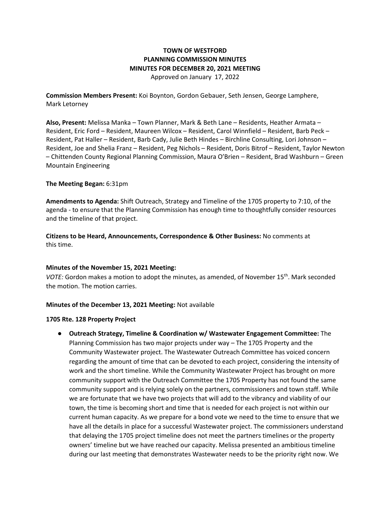# **TOWN OF WESTFORD PLANNING COMMISSION MINUTES MINUTES FOR DECEMBER 20, 2021 MEETING** Approved on January 17, 2022

**Commission Members Present:** Koi Boynton, Gordon Gebauer, Seth Jensen, George Lamphere, Mark Letorney

**Also, Present:** Melissa Manka – Town Planner, Mark & Beth Lane – Residents, Heather Armata – Resident, Eric Ford – Resident, Maureen Wilcox – Resident, Carol Winnfield – Resident, Barb Peck – Resident, Pat Haller – Resident, Barb Cady, Julie Beth Hindes – Birchline Consulting, Lori Johnson – Resident, Joe and Shelia Franz – Resident, Peg Nichols – Resident, Doris Bitrof – Resident, Taylor Newton – Chittenden County Regional Planning Commission, Maura O'Brien – Resident, Brad Washburn – Green Mountain Engineering

#### **The Meeting Began:** 6:31pm

**Amendments to Agenda:** Shift Outreach, Strategy and Timeline of the 1705 property to 7:10, of the agenda - to ensure that the Planning Commission has enough time to thoughtfully consider resources and the timeline of that project.

**Citizens to be Heard, Announcements, Correspondence & Other Business:** No comments at this time.

## **Minutes of the November 15, 2021 Meeting:**

*VOTE:* Gordon makes a motion to adopt the minutes, as amended, of November 15<sup>th</sup>. Mark seconded the motion. The motion carries.

## **Minutes of the December 13, 2021 Meeting:** Not available

#### **1705 Rte. 128 Property Project**

● **Outreach Strategy, Timeline & Coordination w/ Wastewater Engagement Committee:** The Planning Commission has two major projects under way – The 1705 Property and the Community Wastewater project. The Wastewater Outreach Committee has voiced concern regarding the amount of time that can be devoted to each project, considering the intensity of work and the short timeline. While the Community Wastewater Project has brought on more community support with the Outreach Committee the 1705 Property has not found the same community support and is relying solely on the partners, commissioners and town staff. While we are fortunate that we have two projects that will add to the vibrancy and viability of our town, the time is becoming short and time that is needed for each project is not within our current human capacity. As we prepare for a bond vote we need to the time to ensure that we have all the details in place for a successful Wastewater project. The commissioners understand that delaying the 1705 project timeline does not meet the partners timelines or the property owners' timeline but we have reached our capacity. Melissa presented an ambitious timeline during our last meeting that demonstrates Wastewater needs to be the priority right now. We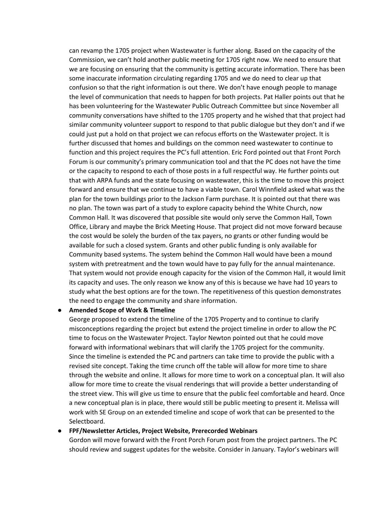can revamp the 1705 project when Wastewater is further along. Based on the capacity of the Commission, we can't hold another public meeting for 1705 right now. We need to ensure that we are focusing on ensuring that the community is getting accurate information. There has been some inaccurate information circulating regarding 1705 and we do need to clear up that confusion so that the right information is out there. We don't have enough people to manage the level of communication that needs to happen for both projects. Pat Haller points out that he has been volunteering for the Wastewater Public Outreach Committee but since November all community conversations have shifted to the 1705 property and he wished that that project had similar community volunteer support to respond to that public dialogue but they don't and if we could just put a hold on that project we can refocus efforts on the Wastewater project. It is further discussed that homes and buildings on the common need wastewater to continue to function and this project requires the PC's full attention. Eric Ford pointed out that Front Porch Forum is our community's primary communication tool and that the PC does not have the time or the capacity to respond to each of those posts in a full respectful way. He further points out that with ARPA funds and the state focusing on wastewater, this is the time to move this project forward and ensure that we continue to have a viable town. Carol Winnfield asked what was the plan for the town buildings prior to the Jackson Farm purchase. It is pointed out that there was no plan. The town was part of a study to explore capacity behind the White Church, now Common Hall. It was discovered that possible site would only serve the Common Hall, Town Office, Library and maybe the Brick Meeting House. That project did not move forward because the cost would be solely the burden of the tax payers, no grants or other funding would be available for such a closed system. Grants and other public funding is only available for Community based systems. The system behind the Common Hall would have been a mound system with pretreatment and the town would have to pay fully for the annual maintenance. That system would not provide enough capacity for the vision of the Common Hall, it would limit its capacity and uses. The only reason we know any of this is because we have had 10 years to study what the best options are for the town. The repetitiveness of this question demonstrates the need to engage the community and share information.

#### ● **Amended Scope of Work & Timeline**

George proposed to extend the timeline of the 1705 Property and to continue to clarify misconceptions regarding the project but extend the project timeline in order to allow the PC time to focus on the Wastewater Project. Taylor Newton pointed out that he could move forward with informational webinars that will clarify the 1705 project for the community. Since the timeline is extended the PC and partners can take time to provide the public with a revised site concept. Taking the time crunch off the table will allow for more time to share through the website and online. It allows for more time to work on a conceptual plan. It will also allow for more time to create the visual renderings that will provide a better understanding of the street view. This will give us time to ensure that the public feel comfortable and heard. Once a new conceptual plan is in place, there would still be public meeting to present it. Melissa will work with SE Group on an extended timeline and scope of work that can be presented to the Selectboard.

#### ● **FPF/Newsletter Articles, Project Website, Prerecorded Webinars**

Gordon will move forward with the Front Porch Forum post from the project partners. The PC should review and suggest updates for the website. Consider in January. Taylor's webinars will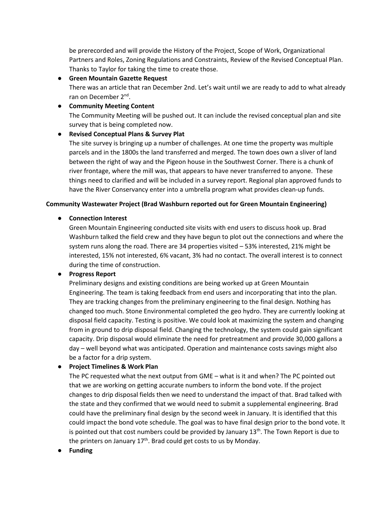be prerecorded and will provide the History of the Project, Scope of Work, Organizational Partners and Roles, Zoning Regulations and Constraints, Review of the Revised Conceptual Plan. Thanks to Taylor for taking the time to create those.

● **Green Mountain Gazette Request** There was an article that ran December 2nd. Let's wait until we are ready to add to what already ran on December 2nd.

# ● **Community Meeting Content**

The Community Meeting will be pushed out. It can include the revised conceptual plan and site survey that is being completed now.

# ● **Revised Conceptual Plans & Survey Plat**

The site survey is bringing up a number of challenges. At one time the property was multiple parcels and in the 1800s the land transferred and merged. The town does own a sliver of land between the right of way and the Pigeon house in the Southwest Corner. There is a chunk of river frontage, where the mill was, that appears to have never transferred to anyone. These things need to clarified and will be included in a survey report. Regional plan approved funds to have the River Conservancy enter into a umbrella program what provides clean-up funds.

## **Community Wastewater Project (Brad Washburn reported out for Green Mountain Engineering)**

# ● **Connection Interest**

Green Mountain Engineering conducted site visits with end users to discuss hook up. Brad Washburn talked the field crew and they have begun to plot out the connections and where the system runs along the road. There are 34 properties visited – 53% interested, 21% might be interested, 15% not interested, 6% vacant, 3% had no contact. The overall interest is to connect during the time of construction.

# ● **Progress Report**

Preliminary designs and existing conditions are being worked up at Green Mountain Engineering. The team is taking feedback from end users and incorporating that into the plan. They are tracking changes from the preliminary engineering to the final design. Nothing has changed too much. Stone Environmental completed the geo hydro. They are currently looking at disposal field capacity. Testing is positive. We could look at maximizing the system and changing from in ground to drip disposal field. Changing the technology, the system could gain significant capacity. Drip disposal would eliminate the need for pretreatment and provide 30,000 gallons a day – well beyond what was anticipated. Operation and maintenance costs savings might also be a factor for a drip system.

## ● **Project Timelines & Work Plan**

The PC requested what the next output from GME – what is it and when? The PC pointed out that we are working on getting accurate numbers to inform the bond vote. If the project changes to drip disposal fields then we need to understand the impact of that. Brad talked with the state and they confirmed that we would need to submit a supplemental engineering. Brad could have the preliminary final design by the second week in January. It is identified that this could impact the bond vote schedule. The goal was to have final design prior to the bond vote. It is pointed out that cost numbers could be provided by January  $13<sup>th</sup>$ . The Town Report is due to the printers on January  $17<sup>th</sup>$ . Brad could get costs to us by Monday.

● **Funding**